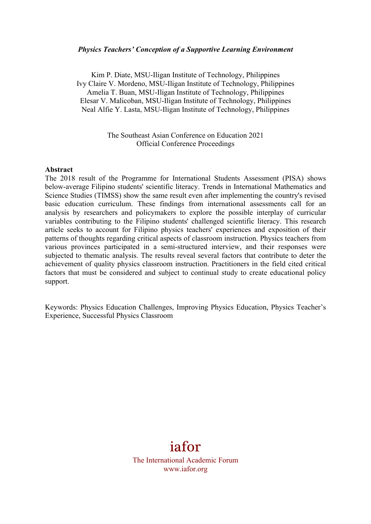#### *Physics Teachers' Conception of a Supportive Learning Environment*

Kim P. Diate, MSU-Iligan Institute of Technology, Philippines Ivy Claire V. Mordeno, MSU-Iligan Institute of Technology, Philippines Amelia T. Buan, MSU-Iligan Institute of Technology, Philippines Elesar V. Malicoban, MSU-Iligan Institute of Technology, Philippines Neal Alfie Y. Lasta, MSU-Iligan Institute of Technology, Philippines

#### The Southeast Asian Conference on Education 2021 Official Conference Proceedings

#### **Abstract**

The 2018 result of the Programme for International Students Assessment (PISA) shows below-average Filipino students' scientific literacy. Trends in International Mathematics and Science Studies (TIMSS) show the same result even after implementing the country's revised basic education curriculum. These findings from international assessments call for an analysis by researchers and policymakers to explore the possible interplay of curricular variables contributing to the Filipino students' challenged scientific literacy. This research article seeks to account for Filipino physics teachers' experiences and exposition of their patterns of thoughts regarding critical aspects of classroom instruction. Physics teachers from various provinces participated in a semi-structured interview, and their responses were subjected to thematic analysis. The results reveal several factors that contribute to deter the achievement of quality physics classroom instruction. Practitioners in the field cited critical factors that must be considered and subject to continual study to create educational policy support.

Keywords: Physics Education Challenges, Improving Physics Education, Physics Teacher's Experience, Successful Physics Classroom

# iafor

The International Academic Forum www.iafor.org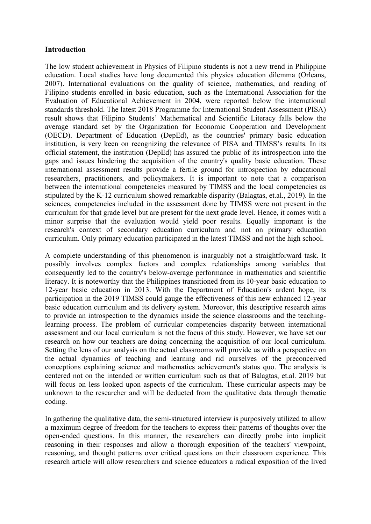## **Introduction**

The low student achievement in Physics of Filipino students is not a new trend in Philippine education. Local studies have long documented this physics education dilemma (Orleans, 2007). International evaluations on the quality of science, mathematics, and reading of Filipino students enrolled in basic education, such as the International Association for the Evaluation of Educational Achievement in 2004, were reported below the international standards threshold. The latest 2018 Programme for International Student Assessment (PISA) result shows that Filipino Students' Mathematical and Scientific Literacy falls below the average standard set by the Organization for Economic Cooperation and Development (OECD). Department of Education (DepEd), as the countries' primary basic education institution, is very keen on recognizing the relevance of PISA and TIMSS's results. In its official statement, the institution (DepEd) has assured the public of its introspection into the gaps and issues hindering the acquisition of the country's quality basic education. These international assessment results provide a fertile ground for introspection by educational researchers, practitioners, and policymakers. It is important to note that a comparison between the international competencies measured by TIMSS and the local competencies as stipulated by the K-12 curriculum showed remarkable disparity (Balagtas, et.al., 2019). In the sciences, competencies included in the assessment done by TIMSS were not present in the curriculum for that grade level but are present for the next grade level. Hence, it comes with a minor surprise that the evaluation would yield poor results. Equally important is the research's context of secondary education curriculum and not on primary education curriculum. Only primary education participated in the latest TIMSS and not the high school.

A complete understanding of this phenomenon is inarguably not a straightforward task. It possibly involves complex factors and complex relationships among variables that consequently led to the country's below-average performance in mathematics and scientific literacy. It is noteworthy that the Philippines transitioned from its 10-year basic education to 12-year basic education in 2013. With the Department of Education's ardent hope, its participation in the 2019 TIMSS could gauge the effectiveness of this new enhanced 12-year basic education curriculum and its delivery system. Moreover, this descriptive research aims to provide an introspection to the dynamics inside the science classrooms and the teachinglearning process. The problem of curricular competencies disparity between international assessment and our local curriculum is not the focus of this study. However, we have set our research on how our teachers are doing concerning the acquisition of our local curriculum. Setting the lens of our analysis on the actual classrooms will provide us with a perspective on the actual dynamics of teaching and learning and rid ourselves of the preconceived conceptions explaining science and mathematics achievement's status quo. The analysis is centered not on the intended or written curriculum such as that of Balagtas, et.al. 2019 but will focus on less looked upon aspects of the curriculum. These curricular aspects may be unknown to the researcher and will be deducted from the qualitative data through thematic coding.

In gathering the qualitative data, the semi-structured interview is purposively utilized to allow a maximum degree of freedom for the teachers to express their patterns of thoughts over the open-ended questions. In this manner, the researchers can directly probe into implicit reasoning in their responses and allow a thorough exposition of the teachers' viewpoint, reasoning, and thought patterns over critical questions on their classroom experience. This research article will allow researchers and science educators a radical exposition of the lived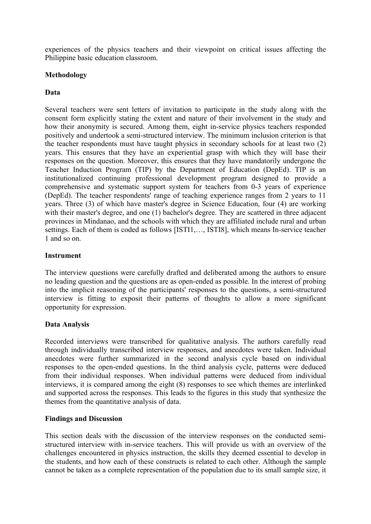experiences of the physics teachers and their viewpoint on critical issues affecting the Philippine basic education classroom.

## **Methodology**

# **Data**

Several teachers were sent letters of invitation to participate in the study along with the consent form explicitly stating the extent and nature of their involvement in the study and how their anonymity is secured. Among them, eight in-service physics teachers responded positively and undertook a semi-structured interview. The minimum inclusion criterion is that the teacher respondents must have taught physics in secondary schools for at least two (2) years. This ensures that they have an experiential grasp with which they will base their responses on the question. Moreover, this ensures that they have mandatorily undergone the Teacher Induction Program (TIP) by the Department of Education (DepEd). TIP is an institutionalized continuing professional development program designed to provide a comprehensive and systematic support system for teachers from 0-3 years of experience (DepEd). The teacher respondents' range of teaching experience ranges from 2 years to 11 years. Three (3) of which have master's degree in Science Education, four (4) are working with their master's degree, and one (1) bachelor's degree. They are scattered in three adjacent provinces in Mindanao, and the schools with which they are affiliated include rural and urban settings. Each of them is coded as follows [ISTI1,…, ISTI8], which means In-service teacher 1 and so on.

## **Instrument**

The interview questions were carefully drafted and deliberated among the authors to ensure no leading question and the questions are as open-ended as possible. In the interest of probing into the implicit reasoning of the participants' responses to the questions, a semi-structured interview is fitting to exposit their patterns of thoughts to allow a more significant opportunity for expression.

# **Data Analysis**

Recorded interviews were transcribed for qualitative analysis. The authors carefully read through individually transcribed interview responses, and anecdotes were taken. Individual anecdotes were further summarized in the second analysis cycle based on individual responses to the open-ended questions. In the third analysis cycle, patterns were deduced from their individual responses. When individual patterns were deduced from individual interviews, it is compared among the eight (8) responses to see which themes are interlinked and supported across the responses. This leads to the figures in this study that synthesize the themes from the quantitative analysis of data.

## **Findings and Discussion**

This section deals with the discussion of the interview responses on the conducted semistructured interview with in-service teachers. This will provide us with an overview of the challenges encountered in physics instruction, the skills they deemed essential to develop in the students, and how each of these constructs is related to each other. Although the sample cannot be taken as a complete representation of the population due to its small sample size, it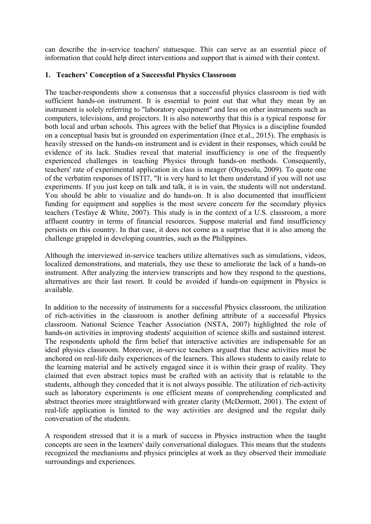can describe the in-service teachers' statuesque. This can serve as an essential piece of information that could help direct interventions and support that is aimed with their context.

# **1. Teachers' Conception of a Successful Physics Classroom**

The teacher-respondents show a consensus that a successful physics classroom is tied with sufficient hands-on instrument. It is essential to point out that what they mean by an instrument is solely referring to "laboratory equipment" and less on other instruments such as computers, televisions, and projectors. It is also noteworthy that this is a typical response for both local and urban schools. This agrees with the belief that Physics is a discipline founded on a conceptual basis but is grounded on experimentation (Ince et.al., 2015). The emphasis is heavily stressed on the hands-on instrument and is evident in their responses, which could be evidence of its lack. Studies reveal that material insufficiency is one of the frequently experienced challenges in teaching Physics through hands-on methods. Consequently, teachers' rate of experimental application in class is meager (Onyesolu, 2009). To quote one of the verbatim responses of ISTI7, "It is very hard to let them understand if you will not use experiments. If you just keep on talk and talk, it is in vain, the students will not understand. You should be able to visualize and do hands-on. It is also documented that insufficient funding for equipment and supplies is the most severe concern for the secondary physics teachers (Tesfaye & White, 2007). This study is in the context of a U.S. classroom, a more affluent country in terms of financial resources. Suppose material and fund insufficiency persists on this country. In that case, it does not come as a surprise that it is also among the challenge grappled in developing countries, such as the Philippines.

Although the interviewed in-service teachers utilize alternatives such as simulations, videos, localized demonstrations, and materials, they use these to ameliorate the lack of a hands-on instrument. After analyzing the interview transcripts and how they respond to the questions, alternatives are their last resort. It could be avoided if hands-on equipment in Physics is available.

In addition to the necessity of instruments for a successful Physics classroom, the utilization of rich-activities in the classroom is another defining attribute of a successful Physics classroom. National Science Teacher Association (NSTA, 2007) highlighted the role of hands-on activities in improving students' acquisition of science skills and sustained interest. The respondents uphold the firm belief that interactive activities are indispensable for an ideal physics classroom. Moreover, in-service teachers argued that these activities must be anchored on real-life daily experiences of the learners. This allows students to easily relate to the learning material and be actively engaged since it is within their grasp of reality. They claimed that even abstract topics must be crafted with an activity that is relatable to the students, although they conceded that it is not always possible. The utilization of rich-activity such as laboratory experiments is one efficient means of comprehending complicated and abstract theories more straightforward with greater clarity (McDermott, 2001). The extent of real-life application is limited to the way activities are designed and the regular daily conversation of the students.

A respondent stressed that it is a mark of success in Physics instruction when the taught concepts are seen in the learners' daily conversational dialogues. This means that the students recognized the mechanisms and physics principles at work as they observed their immediate surroundings and experiences.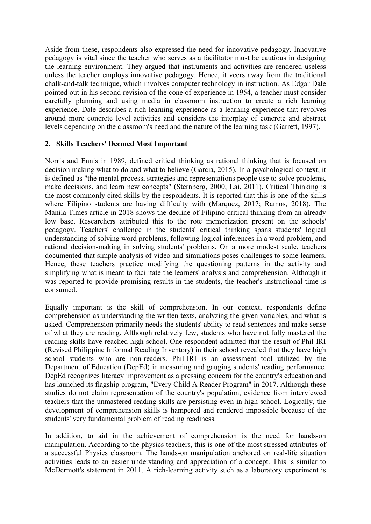Aside from these, respondents also expressed the need for innovative pedagogy. Innovative pedagogy is vital since the teacher who serves as a facilitator must be cautious in designing the learning environment. They argued that instruments and activities are rendered useless unless the teacher employs innovative pedagogy. Hence, it veers away from the traditional chalk-and-talk technique, which involves computer technology in instruction. As Edgar Dale pointed out in his second revision of the cone of experience in 1954, a teacher must consider carefully planning and using media in classroom instruction to create a rich learning experience. Dale describes a rich learning experience as a learning experience that revolves around more concrete level activities and considers the interplay of concrete and abstract levels depending on the classroom's need and the nature of the learning task (Garrett, 1997).

## **2. Skills Teachers' Deemed Most Important**

Norris and Ennis in 1989, defined critical thinking as rational thinking that is focused on decision making what to do and what to believe (Garcia, 2015). In a psychological context, it is defined as "the mental process, strategies and representations people use to solve problems, make decisions, and learn new concepts" (Sternberg, 2000; Lai, 2011). Critical Thinking is the most commonly cited skills by the respondents. It is reported that this is one of the skills where Filipino students are having difficulty with (Marquez, 2017; Ramos, 2018). The Manila Times article in 2018 shows the decline of Filipino critical thinking from an already low base. Researchers attributed this to the rote memorization present on the schools' pedagogy. Teachers' challenge in the students' critical thinking spans students' logical understanding of solving word problems, following logical inferences in a word problem, and rational decision-making in solving students' problems. On a more modest scale, teachers documented that simple analysis of video and simulations poses challenges to some learners. Hence, these teachers practice modifying the questioning patterns in the activity and simplifying what is meant to facilitate the learners' analysis and comprehension. Although it was reported to provide promising results in the students, the teacher's instructional time is consumed.

Equally important is the skill of comprehension. In our context, respondents define comprehension as understanding the written texts, analyzing the given variables, and what is asked. Comprehension primarily needs the students' ability to read sentences and make sense of what they are reading. Although relatively few, students who have not fully mastered the reading skills have reached high school. One respondent admitted that the result of Phil-IRI (Revised Philippine Informal Reading Inventory) in their school revealed that they have high school students who are non-readers. Phil-IRI is an assessment tool utilized by the Department of Education (DepEd) in measuring and gauging students' reading performance. DepEd recognizes literacy improvement as a pressing concern for the country's education and has launched its flagship program, "Every Child A Reader Program" in 2017. Although these studies do not claim representation of the country's population, evidence from interviewed teachers that the unmastered reading skills are persisting even in high school. Logically, the development of comprehension skills is hampered and rendered impossible because of the students' very fundamental problem of reading readiness.

In addition, to aid in the achievement of comprehension is the need for hands-on manipulation. According to the physics teachers, this is one of the most stressed attributes of a successful Physics classroom. The hands-on manipulation anchored on real-life situation activities leads to an easier understanding and appreciation of a concept. This is similar to McDermott's statement in 2011. A rich-learning activity such as a laboratory experiment is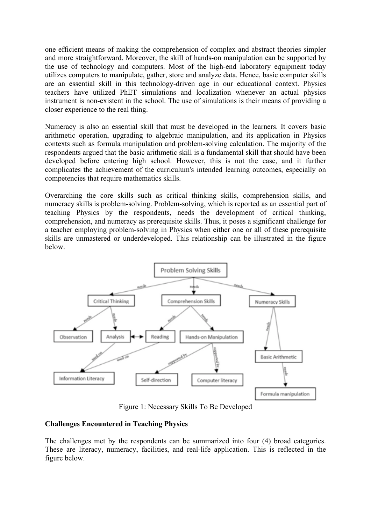one efficient means of making the comprehension of complex and abstract theories simpler and more straightforward. Moreover, the skill of hands-on manipulation can be supported by the use of technology and computers. Most of the high-end laboratory equipment today utilizes computers to manipulate, gather, store and analyze data. Hence, basic computer skills are an essential skill in this technology-driven age in our educational context. Physics teachers have utilized PhET simulations and localization whenever an actual physics instrument is non-existent in the school. The use of simulations is their means of providing a closer experience to the real thing.

Numeracy is also an essential skill that must be developed in the learners. It covers basic arithmetic operation, upgrading to algebraic manipulation, and its application in Physics contexts such as formula manipulation and problem-solving calculation. The majority of the respondents argued that the basic arithmetic skill is a fundamental skill that should have been developed before entering high school. However, this is not the case, and it further complicates the achievement of the curriculum's intended learning outcomes, especially on competencies that require mathematics skills.

Overarching the core skills such as critical thinking skills, comprehension skills, and numeracy skills is problem-solving. Problem-solving, which is reported as an essential part of teaching Physics by the respondents, needs the development of critical thinking, comprehension, and numeracy as prerequisite skills. Thus, it poses a significant challenge for a teacher employing problem-solving in Physics when either one or all of these prerequisite skills are unmastered or underdeveloped. This relationship can be illustrated in the figure below.



Figure 1: Necessary Skills To Be Developed

# **Challenges Encountered in Teaching Physics**

The challenges met by the respondents can be summarized into four (4) broad categories. These are literacy, numeracy, facilities, and real-life application. This is reflected in the figure below.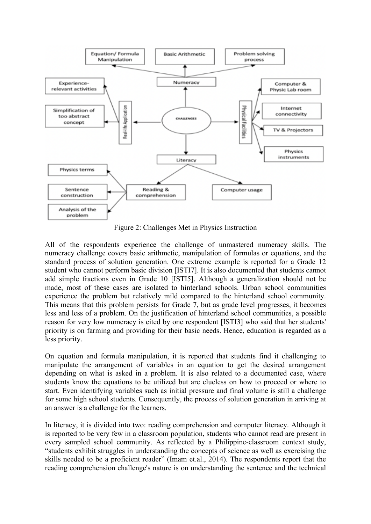

Figure 2: Challenges Met in Physics Instruction

All of the respondents experience the challenge of unmastered numeracy skills. The numeracy challenge covers basic arithmetic, manipulation of formulas or equations, and the standard process of solution generation. One extreme example is reported for a Grade 12 student who cannot perform basic division [ISTI7]. It is also documented that students cannot add simple fractions even in Grade 10 [ISTI5]. Although a generalization should not be made, most of these cases are isolated to hinterland schools. Urban school communities experience the problem but relatively mild compared to the hinterland school community. This means that this problem persists for Grade 7, but as grade level progresses, it becomes less and less of a problem. On the justification of hinterland school communities, a possible reason for very low numeracy is cited by one respondent [ISTI3] who said that her students' priority is on farming and providing for their basic needs. Hence, education is regarded as a less priority.

On equation and formula manipulation, it is reported that students find it challenging to manipulate the arrangement of variables in an equation to get the desired arrangement depending on what is asked in a problem. It is also related to a documented case, where students know the equations to be utilized but are clueless on how to proceed or where to start. Even identifying variables such as initial pressure and final volume is still a challenge for some high school students. Consequently, the process of solution generation in arriving at an answer is a challenge for the learners.

In literacy, it is divided into two: reading comprehension and computer literacy. Although it is reported to be very few in a classroom population, students who cannot read are present in every sampled school community. As reflected by a Philippine-classroom context study, "students exhibit struggles in understanding the concepts of science as well as exercising the skills needed to be a proficient reader" (Imam et.al., 2014). The respondents report that the reading comprehension challenge's nature is on understanding the sentence and the technical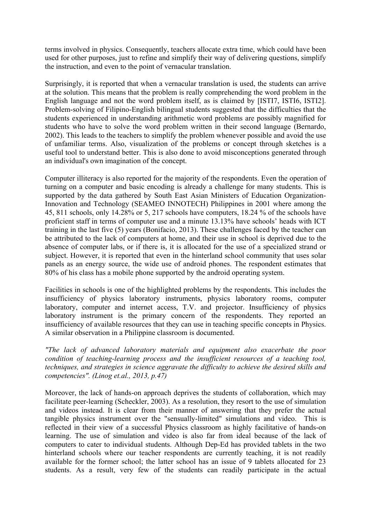terms involved in physics. Consequently, teachers allocate extra time, which could have been used for other purposes, just to refine and simplify their way of delivering questions, simplify the instruction, and even to the point of vernacular translation.

Surprisingly, it is reported that when a vernacular translation is used, the students can arrive at the solution. This means that the problem is really comprehending the word problem in the English language and not the word problem itself, as is claimed by [ISTI7, ISTI6, ISTI2]. Problem-solving of Filipino-English bilingual students suggested that the difficulties that the students experienced in understanding arithmetic word problems are possibly magnified for students who have to solve the word problem written in their second language (Bernardo, 2002). This leads to the teachers to simplify the problem whenever possible and avoid the use of unfamiliar terms. Also, visualization of the problems or concept through sketches is a useful tool to understand better. This is also done to avoid misconceptions generated through an individual's own imagination of the concept.

Computer illiteracy is also reported for the majority of the respondents. Even the operation of turning on a computer and basic encoding is already a challenge for many students. This is supported by the data gathered by South East Asian Ministers of Education Organization-Innovation and Technology (SEAMEO INNOTECH) Philippines in 2001 where among the 45, 811 schools, only 14.28% or 5, 217 schools have computers, 18.24 % of the schools have proficient staff in terms of computer use and a minute 13.13% have schools' heads with ICT training in the last five (5) years (Bonifacio, 2013). These challenges faced by the teacher can be attributed to the lack of computers at home, and their use in school is deprived due to the absence of computer labs, or if there is, it is allocated for the use of a specialized strand or subject. However, it is reported that even in the hinterland school community that uses solar panels as an energy source, the wide use of android phones. The respondent estimates that 80% of his class has a mobile phone supported by the android operating system.

Facilities in schools is one of the highlighted problems by the respondents. This includes the insufficiency of physics laboratory instruments, physics laboratory rooms, computer laboratory, computer and internet access, T.V. and projector. Insufficiency of physics laboratory instrument is the primary concern of the respondents. They reported an insufficiency of available resources that they can use in teaching specific concepts in Physics. A similar observation in a Philippine classroom is documented.

*"The lack of advanced laboratory materials and equipment also exacerbate the poor condition of teaching-learning process and the insufficient resources of a teaching tool, techniques, and strategies in science aggravate the difficulty to achieve the desired skills and competencies". (Linog et.al., 2013, p.47)*

Moreover, the lack of hands-on approach deprives the students of collaboration, which may facilitate peer-learning (Scheckler, 2003). As a resolution, they resort to the use of simulation and videos instead. It is clear from their manner of answering that they prefer the actual tangible physics instrument over the "sensually-limited" simulations and video. This is reflected in their view of a successful Physics classroom as highly facilitative of hands-on learning. The use of simulation and video is also far from ideal because of the lack of computers to cater to individual students. Although Dep-Ed has provided tablets in the two hinterland schools where our teacher respondents are currently teaching, it is not readily available for the former school; the latter school has an issue of 9 tablets allocated for 23 students. As a result, very few of the students can readily participate in the actual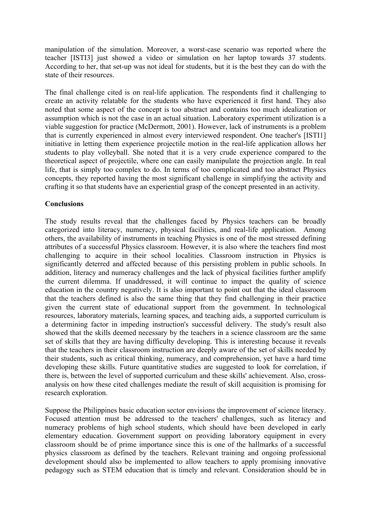manipulation of the simulation. Moreover, a worst-case scenario was reported where the teacher [ISTI3] just showed a video or simulation on her laptop towards 37 students. According to her, that set-up was not ideal for students, but it is the best they can do with the state of their resources.

The final challenge cited is on real-life application. The respondents find it challenging to create an activity relatable for the students who have experienced it first hand. They also noted that some aspect of the concept is too abstract and contains too much idealization or assumption which is not the case in an actual situation. Laboratory experiment utilization is a viable suggestion for practice (McDermott, 2001). However, lack of instruments is a problem that is currently experienced in almost every interviewed respondent. One teacher's [ISTI1] initiative in letting them experience projectile motion in the real-life application allows her students to play volleyball. She noted that it is a very crude experience compared to the theoretical aspect of projectile, where one can easily manipulate the projection angle. In real life, that is simply too complex to do. In terms of too complicated and too abstract Physics concepts, they reported having the most significant challenge in simplifying the activity and crafting it so that students have an experiential grasp of the concept presented in an activity.

## **Conclusions**

The study results reveal that the challenges faced by Physics teachers can be broadly categorized into literacy, numeracy, physical facilities, and real-life application. Among others, the availability of instruments in teaching Physics is one of the most stressed defining attributes of a successful Physics classroom. However, it is also where the teachers find most challenging to acquire in their school localities. Classroom instruction in Physics is significantly deterred and affected because of this persisting problem in public schools. In addition, literacy and numeracy challenges and the lack of physical facilities further amplify the current dilemma. If unaddressed, it will continue to impact the quality of science education in the country negatively. It is also important to point out that the ideal classroom that the teachers defined is also the same thing that they find challenging in their practice given the current state of educational support from the government. In technological resources, laboratory materials, learning spaces, and teaching aids, a supported curriculum is a determining factor in impeding instruction's successful delivery. The study's result also showed that the skills deemed necessary by the teachers in a science classroom are the same set of skills that they are having difficulty developing. This is interesting because it reveals that the teachers in their classroom instruction are deeply aware of the set of skills needed by their students, such as critical thinking, numeracy, and comprehension, yet have a hard time developing these skills. Future quantitative studies are suggested to look for correlation, if there is, between the level of supported curriculum and these skills' achievement. Also, crossanalysis on how these cited challenges mediate the result of skill acquisition is promising for research exploration.

Suppose the Philippines basic education sector envisions the improvement of science literacy. Focused attention must be addressed to the teachers' challenges, such as literacy and numeracy problems of high school students, which should have been developed in early elementary education. Government support on providing laboratory equipment in every classroom should be of prime importance since this is one of the hallmarks of a successful physics classroom as defined by the teachers. Relevant training and ongoing professional development should also be implemented to allow teachers to apply promising innovative pedagogy such as STEM education that is timely and relevant. Consideration should be in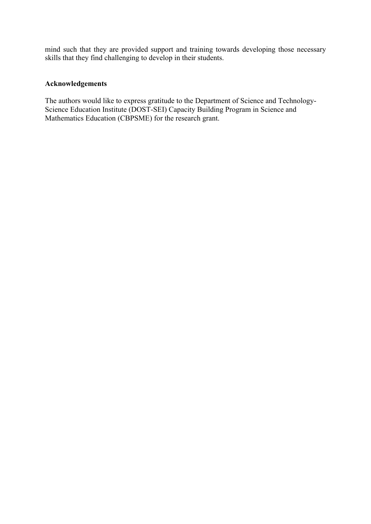mind such that they are provided support and training towards developing those necessary skills that they find challenging to develop in their students.

## **Acknowledgements**

The authors would like to express gratitude to the Department of Science and Technology-Science Education Institute (DOST-SEI) Capacity Building Program in Science and Mathematics Education (CBPSME) for the research grant.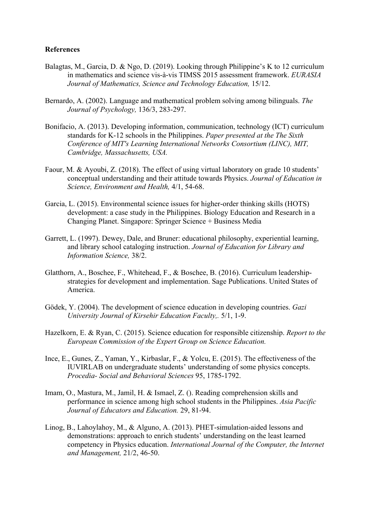#### **References**

- Balagtas, M., Garcia, D. & Ngo, D. (2019). Looking through Philippine's K to 12 curriculum in mathematics and science vis-à-vis TIMSS 2015 assessment framework. *EURASIA Journal of Mathematics, Science and Technology Education,* 15/12.
- Bernardo, A. (2002). Language and mathematical problem solving among bilinguals. *The Journal of Psychology,* 136/3, 283-297.
- Bonifacio, A. (2013). Developing information, communication, technology (ICT) curriculum standards for K-12 schools in the Philippines. *Paper presented at the The Sixth Conference of MIT's Learning International Networks Consortium (LINC), MIT, Cambridge, Massachusetts, USA.*
- Faour, M. & Ayoubi, Z. (2018). The effect of using virtual laboratory on grade 10 students' conceptual understanding and their attitude towards Physics. *Journal of Education in Science, Environment and Health,* 4/1, 54-68.
- Garcia, L. (2015). Environmental science issues for higher-order thinking skills (HOTS) development: a case study in the Philippines. Biology Education and Research in a Changing Planet. Singapore: Springer Science + Business Media
- Garrett, L. (1997). Dewey, Dale, and Bruner: educational philosophy, experiential learning, and library school cataloging instruction. *Journal of Education for Library and Information Science,* 38/2.
- Glatthorn, A., Boschee, F., Whitehead, F., & Boschee, B. (2016). Curriculum leadershipstrategies for development and implementation. Sage Publications. United States of America.
- Gödek, Y. (2004). The development of science education in developing countries. *Gazi University Journal of Kirsehir Education Faculty,.* 5/1, 1-9.
- Hazelkorn, E. & Ryan, C. (2015). Science education for responsible citizenship. *Report to the European Commission of the Expert Group on Science Education.*
- Ince, E., Gunes, Z., Yaman, Y., Kirbaslar, F., & Yolcu, E. (2015). The effectiveness of the IUVIRLAB on undergraduate students' understanding of some physics concepts. *Procedia- Social and Behavioral Sciences* 95, 1785-1792.
- Imam, O., Mastura, M., Jamil, H. & Ismael, Z. (). Reading comprehension skills and performance in science among high school students in the Philippines. *Asia Pacific Journal of Educators and Education.* 29, 81-94.
- Linog, B., Lahoylahoy, M., & Alguno, A. (2013). PHET-simulation-aided lessons and demonstrations: approach to enrich students' understanding on the least learned competency in Physics education. *International Journal of the Computer, the Internet and Management,* 21/2, 46-50.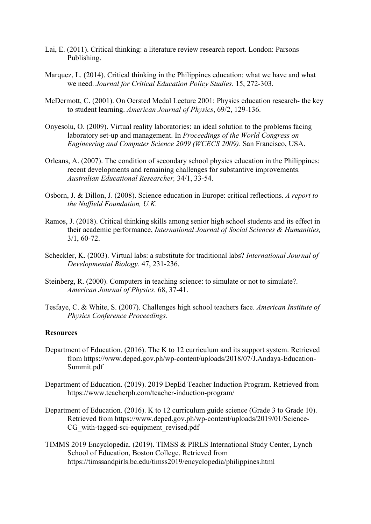- Lai, E. (2011). Critical thinking: a literature review research report. London: Parsons Publishing.
- Marquez, L. (2014). Critical thinking in the Philippines education: what we have and what we need. *Journal for Critical Education Policy Studies.* 15, 272-303.
- McDermott, C. (2001). On Oersted Medal Lecture 2001: Physics education research- the key to student learning. *American Journal of Physics*, 69/2, 129-136.
- Onyesolu, O. (2009). Virtual reality laboratories: an ideal solution to the problems facing laboratory set-up and management. In *Proceedings of the World Congress on Engineering and Computer Science 2009 (WCECS 2009)*. San Francisco, USA.
- Orleans, A. (2007). The condition of secondary school physics education in the Philippines: recent developments and remaining challenges for substantive improvements. *Australian Educational Researcher,* 34/1, 33-54.
- Osborn, J. & Dillon, J. (2008). Science education in Europe: critical reflections. *A report to the Nuffield Foundation, U.K.*
- Ramos, J. (2018). Critical thinking skills among senior high school students and its effect in their academic performance, *International Journal of Social Sciences & Humanities,*  3/1, 60-72.
- Scheckler, K. (2003). Virtual labs: a substitute for traditional labs? *International Journal of Developmental Biology.* 47, 231-236.
- Steinberg, R. (2000). Computers in teaching science: to simulate or not to simulate?. *American Journal of Physics*. 68, 37-41.
- Tesfaye, C. & White, S. (2007). Challenges high school teachers face. *American Institute of Physics Conference Proceedings*.

#### **Resources**

- Department of Education. (2016). The K to 12 curriculum and its support system. Retrieved from https://www.deped.gov.ph/wp-content/uploads/2018/07/J.Andaya-Education-Summit.pdf
- Department of Education. (2019). 2019 DepEd Teacher Induction Program. Retrieved from https://www.teacherph.com/teacher-induction-program/
- Department of Education. (2016). K to 12 curriculum guide science (Grade 3 to Grade 10). Retrieved from https://www.deped.gov.ph/wp-content/uploads/2019/01/Science-CG with-tagged-sci-equipment revised.pdf
- TIMMS 2019 Encyclopedia. (2019). TIMSS & PIRLS International Study Center, Lynch School of Education, Boston College. Retrieved from https://timssandpirls.bc.edu/timss2019/encyclopedia/philippines.html